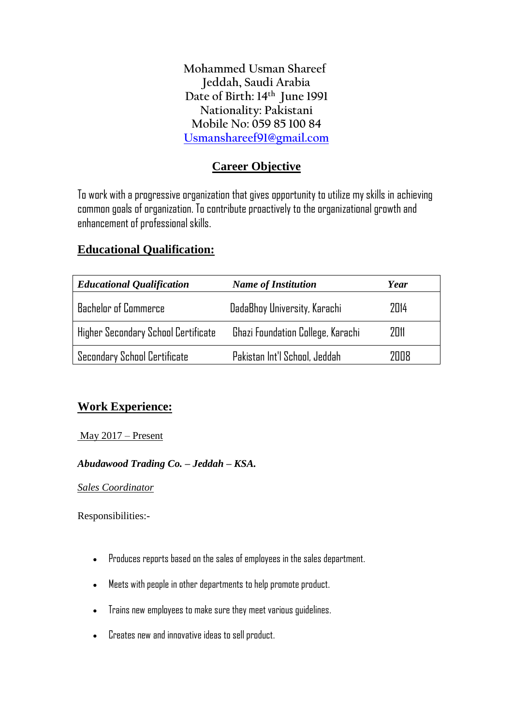**Mohammed Usman Shareef Jeddah, Saudi Arabia Date of Birth: 14th June 1991 Nationality: Pakistani Mobile No: 059 85 100 84 [Usmanshareef91@gmail.com](mailto:Usmanshareef91@gmail.com)**

# **Career Objective**

To work with a progressive organization that gives opportunity to utilize my skills in achieving common goals of organization. To contribute proactively to the organizational growth and enhancement of professional skills.

# **Educational Qualification:**

| <b>Educational Qualification</b>    | <b>Name of Institution</b>        | Year |
|-------------------------------------|-----------------------------------|------|
| <b>Bachelor of Commerce</b>         | DadaBhoy University, Karachi      | 2014 |
| Higher Secondary School Certificate | Ghazi Foundation College, Karachi | 2011 |
| Secondary School Certificate        | Pakistan Int'l School, Jeddah     | 7008 |

# **Work Experience:**

May 2017 – Present

## *Abudawood Trading Co. – Jeddah – KSA.*

*Sales Coordinator*

Responsibilities:-

- Produces reports based on the sales of employees in the sales department.
- Meets with people in other departments to help promote product.
- Trains new employees to make sure they meet various guidelines.
- Creates new and innovative ideas to sell product.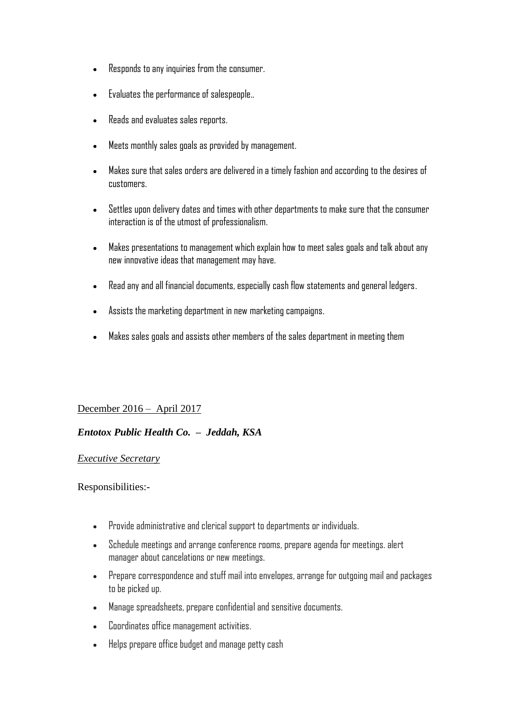- Responds to any inquiries from the consumer.
- Evaluates the performance of salespeople..
- Reads and evaluates sales reports.
- Meets monthly sales goals as provided by management.
- Makes sure that sales orders are delivered in a timely fashion and according to the desires of customers.
- Settles upon delivery dates and times with other departments to make sure that the consumer interaction is of the utmost of professionalism.
- Makes presentations to management which explain how to meet sales goals and talk about any new innovative ideas that management may have.
- Read any and all financial documents, especially cash flow statements and general ledgers.
- Assists the marketing department in new marketing campaigns.
- Makes sales goals and assists other members of the sales department in meeting them

### December 2016 – April 2017

## *Entotox Public Health Co. – Jeddah, KSA*

#### *Executive Secretary*

Responsibilities:-

- Provide administrative and clerical support to departments or individuals.
- Schedule meetings and arrange conference rooms, prepare agenda for meetings. alert manager about cancelations or new meetings.
- Prepare correspondence and stuff mail into envelopes, arrange for outgoing mail and packages to be picked up.
- Manage spreadsheets, prepare confidential and sensitive documents.
- Coordinates office management activities.
- Helps prepare office budget and manage petty cash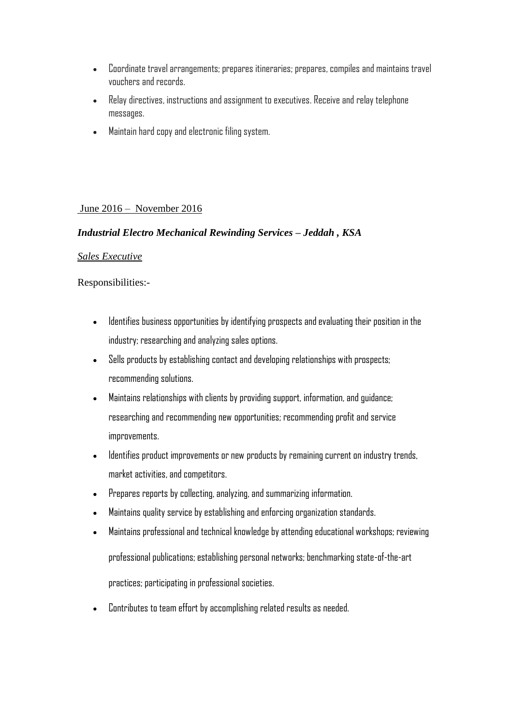- Coordinate travel arrangements; prepares itineraries; prepares, compiles and maintains travel vouchers and records.
- Relay directives, instructions and assignment to executives. Receive and relay telephone messages.
- Maintain hard copy and electronic filing system.

### June 2016 – November 2016

#### *Industrial Electro Mechanical Rewinding Services – Jeddah , KSA*

#### *Sales Executive*

Responsibilities:-

- Identifies business opportunities by identifying prospects and evaluating their position in the industry; researching and analyzing sales options.
- Sells products by establishing contact and developing relationships with prospects; recommending solutions.
- Maintains relationships with clients by providing support, information, and guidance; researching and recommending new opportunities; recommending profit and service improvements.
- Identifies product improvements or new products by remaining current on industry trends, market activities, and competitors.
- Prepares reports by collecting, analyzing, and summarizing information.
- Maintains quality service by establishing and enforcing organization standards.
- Maintains professional and technical knowledge by attending educational workshops; reviewing professional publications; establishing personal networks; benchmarking state-of-the-art practices; participating in professional societies.
- Contributes to team effort by accomplishing related results as needed.